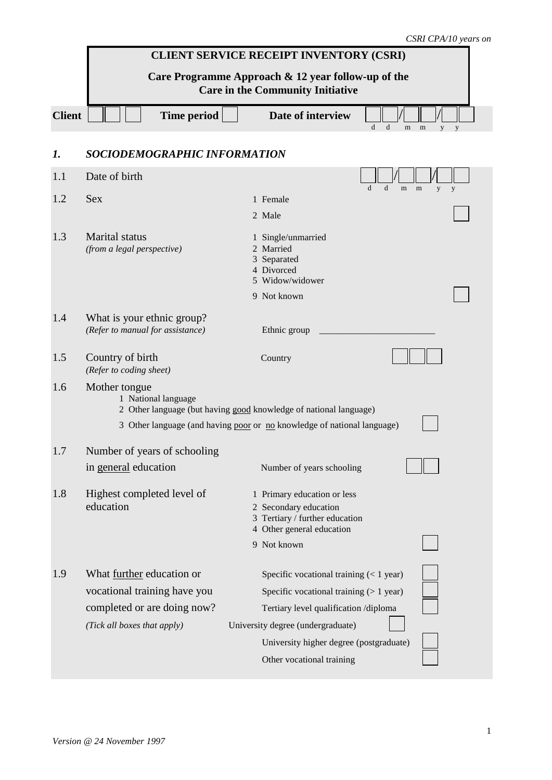| CSRI CPA/10 years on |  |
|----------------------|--|
|----------------------|--|

|               | <b>CLIENT SERVICE RECEIPT INVENTORY (CSRI)</b>                                                                          |                                                                                                                                                                       |  |  |  |
|---------------|-------------------------------------------------------------------------------------------------------------------------|-----------------------------------------------------------------------------------------------------------------------------------------------------------------------|--|--|--|
|               | Care Programme Approach $\&$ 12 year follow-up of the<br><b>Care in the Community Initiative</b>                        |                                                                                                                                                                       |  |  |  |
| <b>Client</b> | <b>Time period</b>                                                                                                      | Date of interview<br>$\mathbf d$<br>d<br>m<br>m                                                                                                                       |  |  |  |
| 1.            | SOCIODEMOGRAPHIC INFORMATION                                                                                            |                                                                                                                                                                       |  |  |  |
| 1.1           | Date of birth                                                                                                           | d<br>d<br>m                                                                                                                                                           |  |  |  |
| 1.2           | <b>Sex</b>                                                                                                              | m<br>y<br>y<br>1 Female                                                                                                                                               |  |  |  |
|               |                                                                                                                         | 2 Male                                                                                                                                                                |  |  |  |
| 1.3           | <b>Marital</b> status<br>(from a legal perspective)                                                                     | 1 Single/unmarried<br>2 Married<br>3 Separated<br>4 Divorced<br>5 Widow/widower                                                                                       |  |  |  |
|               |                                                                                                                         | 9 Not known                                                                                                                                                           |  |  |  |
| 1.4           | What is your ethnic group?<br>(Refer to manual for assistance)                                                          | Ethnic group                                                                                                                                                          |  |  |  |
| 1.5           | Country of birth<br>(Refer to coding sheet)                                                                             | Country                                                                                                                                                               |  |  |  |
| 1.6           | Mother tongue<br>1 National language                                                                                    | 2 Other language (but having good knowledge of national language)                                                                                                     |  |  |  |
|               |                                                                                                                         | 3 Other language (and having poor or no knowledge of national language)                                                                                               |  |  |  |
| 1.7           | Number of years of schooling                                                                                            |                                                                                                                                                                       |  |  |  |
|               | in general education                                                                                                    | Number of years schooling                                                                                                                                             |  |  |  |
| 1.8           | Highest completed level of<br>education                                                                                 | 1 Primary education or less<br>2 Secondary education<br>3 Tertiary / further education<br>4 Other general education                                                   |  |  |  |
|               |                                                                                                                         | 9 Not known                                                                                                                                                           |  |  |  |
| 1.9           | What further education or<br>vocational training have you<br>completed or are doing now?<br>(Tick all boxes that apply) | Specific vocational training $(< 1$ year)<br>Specific vocational training $($ > 1 year)<br>Tertiary level qualification /diploma<br>University degree (undergraduate) |  |  |  |
|               |                                                                                                                         | University higher degree (postgraduate)<br>Other vocational training                                                                                                  |  |  |  |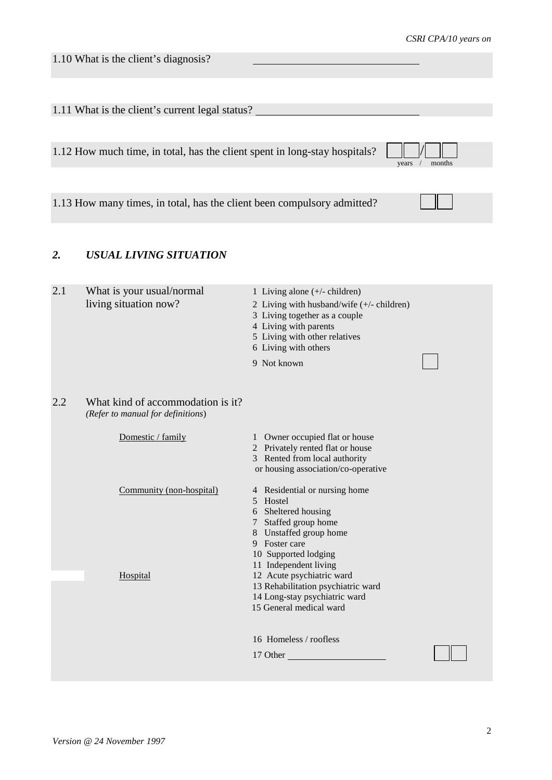1.10 What is the client's diagnosis?

|                  | 1.11 What is the client's current legal status?                            |                                                                                                                                                                                                                                                                  |                 |
|------------------|----------------------------------------------------------------------------|------------------------------------------------------------------------------------------------------------------------------------------------------------------------------------------------------------------------------------------------------------------|-----------------|
|                  |                                                                            |                                                                                                                                                                                                                                                                  |                 |
|                  | 1.12 How much time, in total, has the client spent in long-stay hospitals? |                                                                                                                                                                                                                                                                  | months<br>years |
|                  |                                                                            |                                                                                                                                                                                                                                                                  |                 |
|                  | 1.13 How many times, in total, has the client been compulsory admitted?    |                                                                                                                                                                                                                                                                  |                 |
| $\overline{2}$ . | USUAL LIVING SITUATION                                                     |                                                                                                                                                                                                                                                                  |                 |
| 2.1              | What is your usual/normal<br>living situation now?                         | 1 Living alone $(+/-$ children)<br>2 Living with husband/wife $(+/-$ children)<br>3 Living together as a couple<br>4 Living with parents<br>5 Living with other relatives<br>6 Living with others<br>9 Not known                                                 |                 |
| 2.2              | What kind of accommodation is it?<br>(Refer to manual for definitions)     |                                                                                                                                                                                                                                                                  |                 |
|                  | Domestic / family                                                          | 1 Owner occupied flat or house<br>2 Privately rented flat or house<br>3 Rented from local authority<br>or housing association/co-operative                                                                                                                       |                 |
|                  | Community (non-hospital)<br>Hospital                                       | Residential or nursing home<br>4<br>5<br>Hostel<br>Sheltered housing<br>6<br>7 Staffed group home<br>8 Unstaffed group home<br>9 Foster care<br>10 Supported lodging<br>11 Independent living<br>12 Acute psychiatric ward<br>13 Rehabilitation psychiatric ward |                 |
|                  |                                                                            | 14 Long-stay psychiatric ward<br>15 General medical ward<br>16 Homeless / roofless<br>17 Other                                                                                                                                                                   |                 |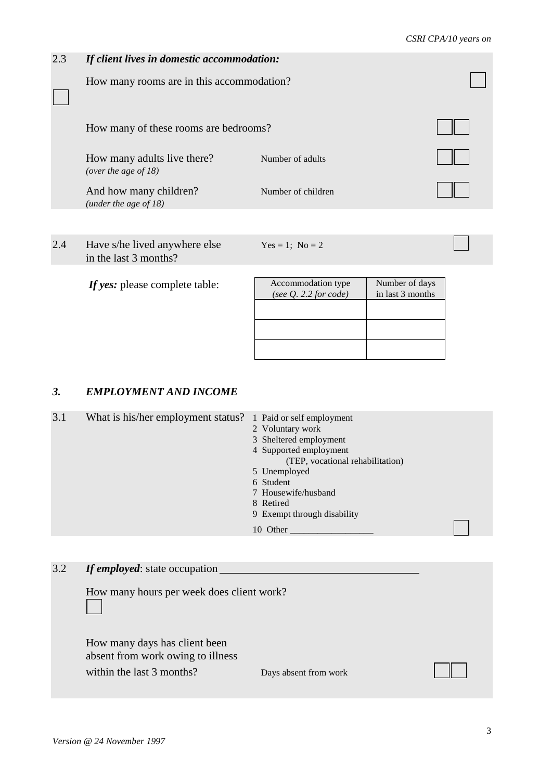# 2.3 *If client lives in domestic accommodation:* How many rooms are in this accommodation? How many of these rooms are bedrooms? How many adults live there? Number of adults *(over the age of 18)* And how many children? Number of children *(under the age of 18)*

2.4 Have s/he lived anywhere else  $Yes = 1$ ; No = 2 in the last 3 months?

| If yes: please complete table: | Accon        |
|--------------------------------|--------------|
|                                | (see $\zeta$ |
|                                |              |

| Accommodation type<br>(see $Q.$ 2.2 for code) | Number of days<br>in last 3 months |
|-----------------------------------------------|------------------------------------|
|                                               |                                    |
|                                               |                                    |
|                                               |                                    |

### *3. EMPLOYMENT AND INCOME*

| 3.1 | What is his/her employment status? 1 Paid or self employment | 2 Voluntary work<br>3 Sheltered employment<br>4 Supported employment<br>(TEP, vocational rehabilitation)<br>5 Unemployed<br>6 Student<br>7 Housewife/husband<br>8 Retired<br>9 Exempt through disability |  |
|-----|--------------------------------------------------------------|----------------------------------------------------------------------------------------------------------------------------------------------------------------------------------------------------------|--|
|     |                                                              | 10 Other                                                                                                                                                                                                 |  |
|     |                                                              |                                                                                                                                                                                                          |  |

3.2 *If employed*: state occupation How many hours per week does client work? How many days has client been absent from work owing to illness within the last 3 months? Days absent from work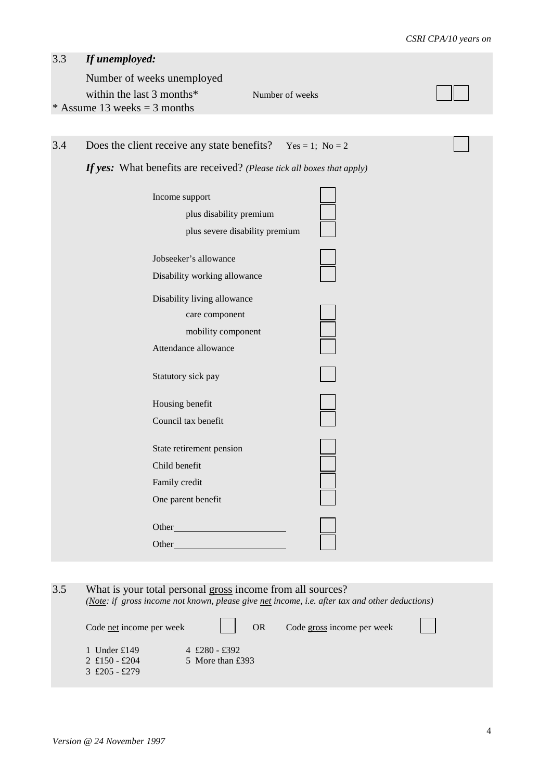# 3.3 *If unemployed:*

Number of weeks unemployed

|     | within the last $3$ months*<br>* Assume 13 weeks = 3 months                   | Number of weeks |  |
|-----|-------------------------------------------------------------------------------|-----------------|--|
|     |                                                                               |                 |  |
| 3.4 | Does the client receive any state benefits? $Yes = 1$ ; No = 2                |                 |  |
|     | <b>If yes:</b> What benefits are received? (Please tick all boxes that apply) |                 |  |
|     | Income support<br>plus disability premium<br>plus severe disability premium   |                 |  |
|     | Jobseeker's allowance                                                         |                 |  |
|     | Disability working allowance                                                  |                 |  |

| Disability living allowance |  |
|-----------------------------|--|
| care component              |  |

mobility component

| Attendance allowance |  |
|----------------------|--|
|                      |  |
|                      |  |

| Statutory sick pay |  |  |
|--------------------|--|--|
|                    |  |  |

| Housing benefit          |  |
|--------------------------|--|
| Council tax benefit      |  |
| State retirement pension |  |
| Child benefit            |  |
| Family credit            |  |

One parent benefit Other Other **Communication** 

| 3.5 | What is your total personal gross income from all sources?<br>(Note: if gross income not known, please give net income, i.e. after tax and other deductions) |                                     |           |                            |  |
|-----|--------------------------------------------------------------------------------------------------------------------------------------------------------------|-------------------------------------|-----------|----------------------------|--|
|     | Code net income per week                                                                                                                                     |                                     | <b>OR</b> | Code gross income per week |  |
|     | 1 Under $£149$<br>$2$ £150 - £204<br>$3$ £205 - £279                                                                                                         | 4 $£280 - £392$<br>5 More than £393 |           |                            |  |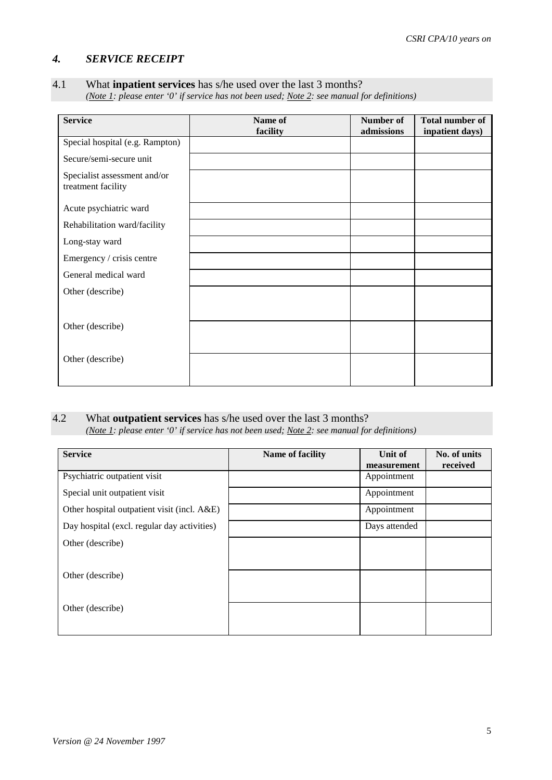### *4. SERVICE RECEIPT*

### 4.1 What **inpatient services** has s/he used over the last 3 months?

*(Note 1: please enter '0' if service has not been used; Note 2: see manual for definitions)*

| <b>Service</b>                                     | Name of<br>facility | Number of<br>admissions | <b>Total number of</b><br>inpatient days) |
|----------------------------------------------------|---------------------|-------------------------|-------------------------------------------|
| Special hospital (e.g. Rampton)                    |                     |                         |                                           |
| Secure/semi-secure unit                            |                     |                         |                                           |
| Specialist assessment and/or<br>treatment facility |                     |                         |                                           |
| Acute psychiatric ward                             |                     |                         |                                           |
| Rehabilitation ward/facility                       |                     |                         |                                           |
| Long-stay ward                                     |                     |                         |                                           |
| Emergency / crisis centre                          |                     |                         |                                           |
| General medical ward                               |                     |                         |                                           |
| Other (describe)                                   |                     |                         |                                           |
|                                                    |                     |                         |                                           |
| Other (describe)                                   |                     |                         |                                           |
|                                                    |                     |                         |                                           |
| Other (describe)                                   |                     |                         |                                           |
|                                                    |                     |                         |                                           |

#### 4.2 What **outpatient services** has s/he used over the last 3 months? *(Note 1: please enter '0' if service has not been used; Note 2: see manual for definitions)*

| <b>Service</b>                              | Name of facility | Unit of<br>measurement | No. of units<br>received |
|---------------------------------------------|------------------|------------------------|--------------------------|
| Psychiatric outpatient visit                |                  | Appointment            |                          |
| Special unit outpatient visit               |                  | Appointment            |                          |
| Other hospital outpatient visit (incl. A&E) |                  | Appointment            |                          |
| Day hospital (excl. regular day activities) |                  | Days attended          |                          |
| Other (describe)                            |                  |                        |                          |
|                                             |                  |                        |                          |
| Other (describe)                            |                  |                        |                          |
|                                             |                  |                        |                          |
| Other (describe)                            |                  |                        |                          |
|                                             |                  |                        |                          |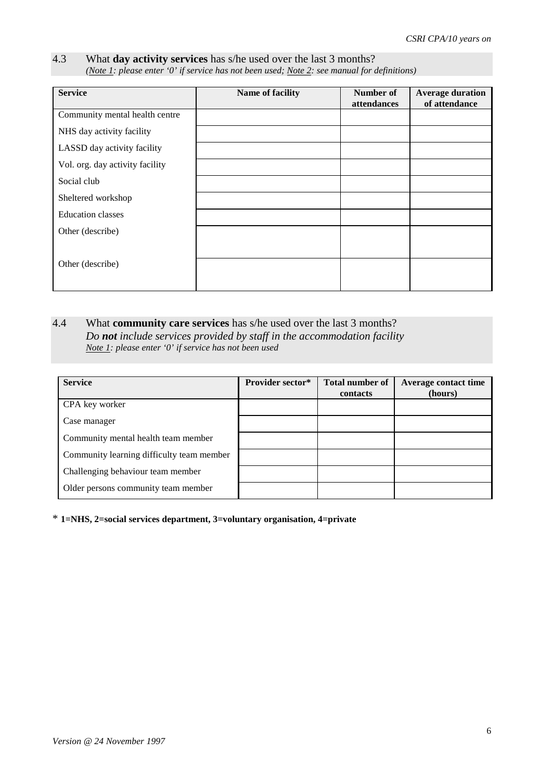# 4.3 What **day activity services** has s/he used over the last 3 months?

*(Note 1: please enter '0' if service has not been used; Note 2: see manual for definitions)*

| <b>Service</b>                  | Name of facility | Number of<br>attendances | <b>Average duration</b><br>of attendance |
|---------------------------------|------------------|--------------------------|------------------------------------------|
| Community mental health centre  |                  |                          |                                          |
| NHS day activity facility       |                  |                          |                                          |
| LASSD day activity facility     |                  |                          |                                          |
| Vol. org. day activity facility |                  |                          |                                          |
| Social club                     |                  |                          |                                          |
| Sheltered workshop              |                  |                          |                                          |
| <b>Education classes</b>        |                  |                          |                                          |
| Other (describe)                |                  |                          |                                          |
|                                 |                  |                          |                                          |
| Other (describe)                |                  |                          |                                          |
|                                 |                  |                          |                                          |

### 4.4 What **community care services** has s/he used over the last 3 months? *Do not include services provided by staff in the accommodation facility Note 1: please enter '0' if service has not been used*

| <b>Service</b>                            | <b>Provider sector*</b> | <b>Total number of</b><br>contacts | <b>Average contact time</b><br>(hours) |
|-------------------------------------------|-------------------------|------------------------------------|----------------------------------------|
| CPA key worker                            |                         |                                    |                                        |
| Case manager                              |                         |                                    |                                        |
| Community mental health team member       |                         |                                    |                                        |
| Community learning difficulty team member |                         |                                    |                                        |
| Challenging behaviour team member         |                         |                                    |                                        |
| Older persons community team member       |                         |                                    |                                        |

\* **1=NHS, 2=social services department, 3=voluntary organisation, 4=private**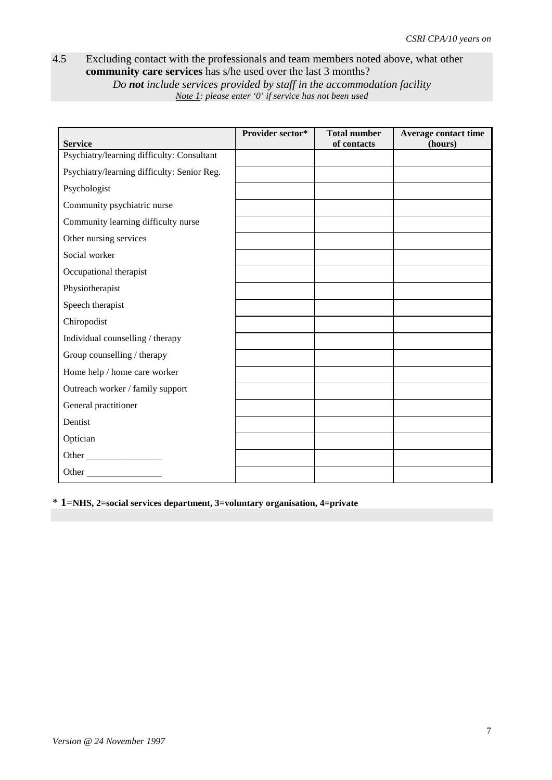### 4.5 Excluding contact with the professionals and team members noted above, what other **community care services** has s/he used over the last 3 months? *Do not include services provided by staff in the accommodation facility Note 1: please enter '0' if service has not been used*

| <b>Service</b>                              | Provider sector* | <b>Total number</b><br>of contacts | Average contact time<br>(hours) |
|---------------------------------------------|------------------|------------------------------------|---------------------------------|
| Psychiatry/learning difficulty: Consultant  |                  |                                    |                                 |
| Psychiatry/learning difficulty: Senior Reg. |                  |                                    |                                 |
| Psychologist                                |                  |                                    |                                 |
| Community psychiatric nurse                 |                  |                                    |                                 |
| Community learning difficulty nurse         |                  |                                    |                                 |
| Other nursing services                      |                  |                                    |                                 |
| Social worker                               |                  |                                    |                                 |
| Occupational therapist                      |                  |                                    |                                 |
| Physiotherapist                             |                  |                                    |                                 |
| Speech therapist                            |                  |                                    |                                 |
| Chiropodist                                 |                  |                                    |                                 |
| Individual counselling / therapy            |                  |                                    |                                 |
| Group counselling / therapy                 |                  |                                    |                                 |
| Home help / home care worker                |                  |                                    |                                 |
| Outreach worker / family support            |                  |                                    |                                 |
| General practitioner                        |                  |                                    |                                 |
| Dentist                                     |                  |                                    |                                 |
| Optician                                    |                  |                                    |                                 |
| Other                                       |                  |                                    |                                 |
| <b>Other</b>                                |                  |                                    |                                 |

\* **1**=**NHS, 2=social services department, 3=voluntary organisation, 4=private**